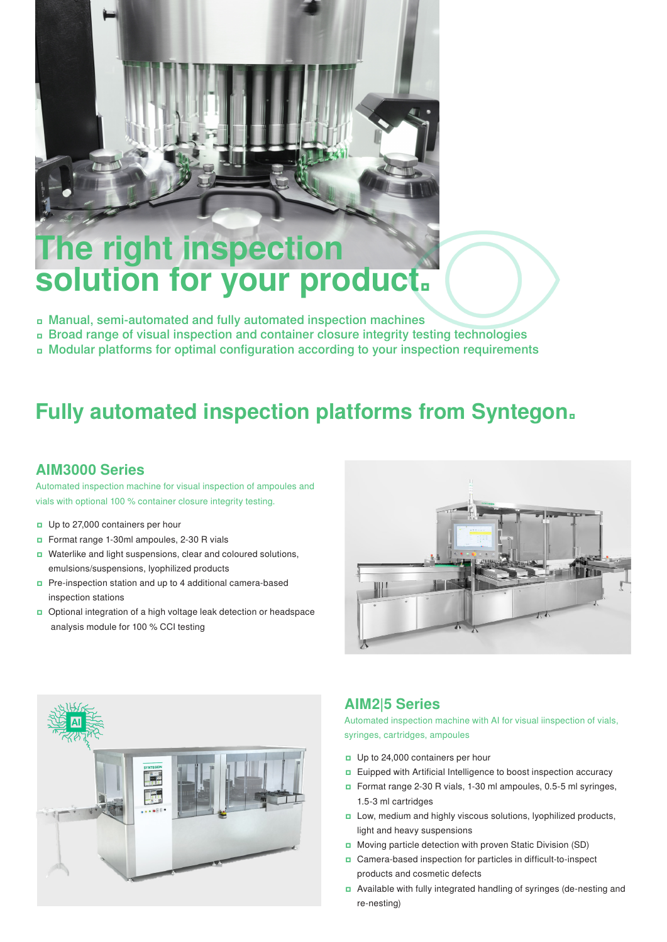# **The right inspection solution for your product.**

- ʨ Manual, semi-automated and fully automated inspection machines
- ʨ Broad range of visual inspection and container closure integrity testing technologies
- ʨ Modular platforms for optimal configuration according to your inspection requirements

## **Fully automated inspection platforms from Syntegon.**

#### **AIM3000 Series**

Automated inspection machine for visual inspection of ampoules and vials with optional 100 % container closure integrity testing.

- ʨ Up to 27,000 containers per hour
- ʨ Format range 1-30ml ampoules, 2-30 R vials
- ʨ Waterlike and light suspensions, clear and coloured solutions, emulsions/suspensions, lyophilized products
- ʨ Pre-inspection station and up to 4 additional camera-based inspection stations
- □ Optional integration of a high voltage leak detection or headspace analysis module for 100 % CCI testing





#### **AIM2|5 Series**

Automated inspection machine with AI for visual iinspection of vials, syringes, cartridges, ampoules

- ʨ Up to 24,000 containers per hour
- ʨ Euipped with Artificial Intelligence to boost inspection accuracy
- ʨ Format range 2-30 R vials, 1-30 ml ampoules, 0.5-5 ml syringes, 1.5-3 ml cartridges
- □ Low, medium and highly viscous solutions, lyophilized products, light and heavy suspensions
- ʨ Moving particle detection with proven Static Division (SD)
- ʨ Camera-based inspection for particles in difficult-to-inspect products and cosmetic defects
- ʨ Available with fully integrated handling of syringes (de-nesting and re-nesting)